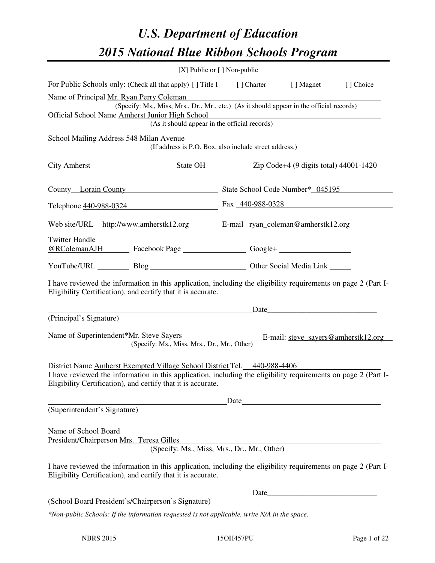# *U.S. Department of Education 2015 National Blue Ribbon Schools Program*

|                                                                                                                                                                                                                           | [X] Public or [] Non-public |  |                                                                                                                                                                                                                               |           |  |
|---------------------------------------------------------------------------------------------------------------------------------------------------------------------------------------------------------------------------|-----------------------------|--|-------------------------------------------------------------------------------------------------------------------------------------------------------------------------------------------------------------------------------|-----------|--|
| For Public Schools only: (Check all that apply) [] Title I [] Charter [] Magnet                                                                                                                                           |                             |  |                                                                                                                                                                                                                               | [] Choice |  |
| Name of Principal Mr. Ryan Perry Coleman<br>(Specify: Ms., Miss, Mrs., Dr., Mr., etc.) (As it should appear in the official records)                                                                                      |                             |  |                                                                                                                                                                                                                               |           |  |
| Official School Name Amherst Junior High School<br><u> 1989 - Andrea Barbara, amerikana amerikana amerikana amerikana amerikana amerikana amerikana amerikana amerik</u><br>(As it should appear in the official records) |                             |  |                                                                                                                                                                                                                               |           |  |
| School Mailing Address 548 Milan Avenue                                                                                                                                                                                   |                             |  |                                                                                                                                                                                                                               |           |  |
| (If address is P.O. Box, also include street address.)                                                                                                                                                                    |                             |  |                                                                                                                                                                                                                               |           |  |
| City Amherst State OH Zip Code+4 (9 digits total) 44001-1420                                                                                                                                                              |                             |  |                                                                                                                                                                                                                               |           |  |
| County Lorain County State School Code Number* 045195                                                                                                                                                                     |                             |  |                                                                                                                                                                                                                               |           |  |
| Telephone 440-988-0324 Fax 440-988-0328                                                                                                                                                                                   |                             |  |                                                                                                                                                                                                                               |           |  |
| Web site/URL http://www.amherstk12.org E-mail ryan coleman@amherstk12.org                                                                                                                                                 |                             |  |                                                                                                                                                                                                                               |           |  |
| <b>Twitter Handle</b>                                                                                                                                                                                                     |                             |  |                                                                                                                                                                                                                               |           |  |
| YouTube/URL Blog Blog Discount Other Social Media Link                                                                                                                                                                    |                             |  |                                                                                                                                                                                                                               |           |  |
| I have reviewed the information in this application, including the eligibility requirements on page 2 (Part I-<br>Eligibility Certification), and certify that it is accurate.                                            |                             |  |                                                                                                                                                                                                                               |           |  |
|                                                                                                                                                                                                                           |                             |  |                                                                                                                                                                                                                               |           |  |
| (Principal's Signature)<br>Name of Superintendent*Mr. Steve Sayers E-mail: steve sayers@amherstk12.org<br>(Specify: Ms., Miss, Mrs., Dr., Mr., Other)                                                                     |                             |  |                                                                                                                                                                                                                               |           |  |
| District Name Amherst Exempted Village School District Tel. 440-988-4406                                                                                                                                                  |                             |  |                                                                                                                                                                                                                               |           |  |
| I have reviewed the information in this application, including the eligibility requirements on page 2 (Part I-<br>Eligibility Certification), and certify that it is accurate.                                            |                             |  |                                                                                                                                                                                                                               |           |  |
|                                                                                                                                                                                                                           |                             |  | Date and the same state of the state of the state of the state of the state of the state of the state of the state of the state of the state of the state of the state of the state of the state of the state of the state of |           |  |
| (Superintendent's Signature)                                                                                                                                                                                              |                             |  |                                                                                                                                                                                                                               |           |  |
| Name of School Board<br>President/Chairperson Mrs. Teresa Gilles<br>(Specify: Ms., Miss, Mrs., Dr., Mr., Other)                                                                                                           |                             |  |                                                                                                                                                                                                                               |           |  |
| I have reviewed the information in this application, including the eligibility requirements on page 2 (Part I-<br>Eligibility Certification), and certify that it is accurate.                                            |                             |  |                                                                                                                                                                                                                               |           |  |
|                                                                                                                                                                                                                           |                             |  | Date                                                                                                                                                                                                                          |           |  |
| (School Board President's/Chairperson's Signature)                                                                                                                                                                        |                             |  |                                                                                                                                                                                                                               |           |  |
| *Non-public Schools: If the information requested is not applicable, write N/A in the space.                                                                                                                              |                             |  |                                                                                                                                                                                                                               |           |  |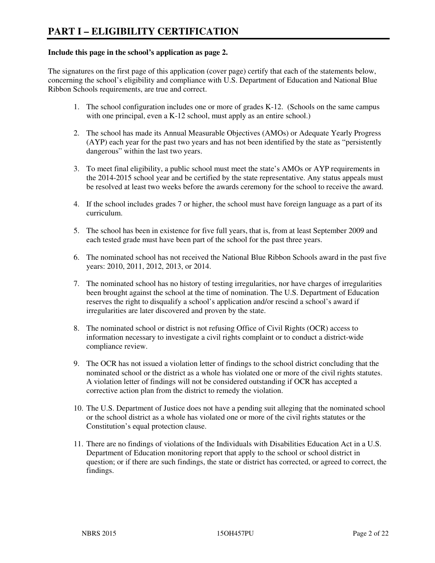#### **Include this page in the school's application as page 2.**

The signatures on the first page of this application (cover page) certify that each of the statements below, concerning the school's eligibility and compliance with U.S. Department of Education and National Blue Ribbon Schools requirements, are true and correct.

- 1. The school configuration includes one or more of grades K-12. (Schools on the same campus with one principal, even a K-12 school, must apply as an entire school.)
- 2. The school has made its Annual Measurable Objectives (AMOs) or Adequate Yearly Progress (AYP) each year for the past two years and has not been identified by the state as "persistently dangerous" within the last two years.
- 3. To meet final eligibility, a public school must meet the state's AMOs or AYP requirements in the 2014-2015 school year and be certified by the state representative. Any status appeals must be resolved at least two weeks before the awards ceremony for the school to receive the award.
- 4. If the school includes grades 7 or higher, the school must have foreign language as a part of its curriculum.
- 5. The school has been in existence for five full years, that is, from at least September 2009 and each tested grade must have been part of the school for the past three years.
- 6. The nominated school has not received the National Blue Ribbon Schools award in the past five years: 2010, 2011, 2012, 2013, or 2014.
- 7. The nominated school has no history of testing irregularities, nor have charges of irregularities been brought against the school at the time of nomination. The U.S. Department of Education reserves the right to disqualify a school's application and/or rescind a school's award if irregularities are later discovered and proven by the state.
- 8. The nominated school or district is not refusing Office of Civil Rights (OCR) access to information necessary to investigate a civil rights complaint or to conduct a district-wide compliance review.
- 9. The OCR has not issued a violation letter of findings to the school district concluding that the nominated school or the district as a whole has violated one or more of the civil rights statutes. A violation letter of findings will not be considered outstanding if OCR has accepted a corrective action plan from the district to remedy the violation.
- 10. The U.S. Department of Justice does not have a pending suit alleging that the nominated school or the school district as a whole has violated one or more of the civil rights statutes or the Constitution's equal protection clause.
- 11. There are no findings of violations of the Individuals with Disabilities Education Act in a U.S. Department of Education monitoring report that apply to the school or school district in question; or if there are such findings, the state or district has corrected, or agreed to correct, the findings.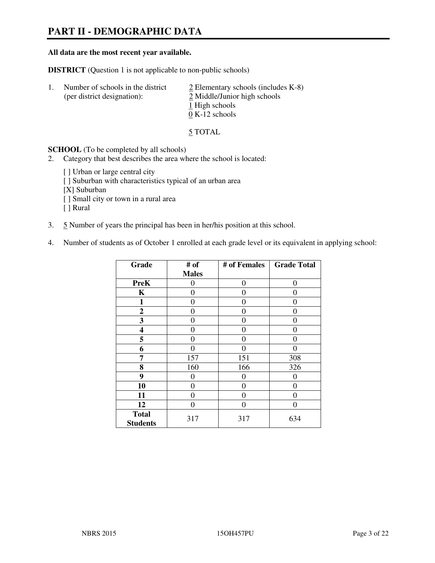# **PART II - DEMOGRAPHIC DATA**

#### **All data are the most recent year available.**

**DISTRICT** (Question 1 is not applicable to non-public schools)

| $\perp$ | Number of schools in the district<br>(per district designation): | $\angle$ Elementary schools (includes K-8)<br>2 Middle/Junior high schools |
|---------|------------------------------------------------------------------|----------------------------------------------------------------------------|
|         |                                                                  | 1 High schools<br>$0 K-12$ schools                                         |

5 TOTAL

**SCHOOL** (To be completed by all schools)

- 2. Category that best describes the area where the school is located:
	- [ ] Urban or large central city
	- [ ] Suburban with characteristics typical of an urban area
	- [X] Suburban
	- [ ] Small city or town in a rural area
	- [ ] Rural
- 3. 5 Number of years the principal has been in her/his position at this school.
- 4. Number of students as of October 1 enrolled at each grade level or its equivalent in applying school:

| Grade                           | # of         | # of Females | <b>Grade Total</b> |
|---------------------------------|--------------|--------------|--------------------|
|                                 | <b>Males</b> |              |                    |
| <b>PreK</b>                     | 0            | $\theta$     | $\theta$           |
| K                               | 0            | 0            | $\theta$           |
| 1                               | 0            | 0            | $\theta$           |
| $\boldsymbol{2}$                | 0            | 0            | 0                  |
| 3                               | 0            | 0            | 0                  |
| 4                               | 0            | 0            | 0                  |
| 5                               | 0            | 0            | $\theta$           |
| 6                               | 0            | $\Omega$     | 0                  |
| 7                               | 157          | 151          | 308                |
| 8                               | 160          | 166          | 326                |
| 9                               | 0            | 0            | 0                  |
| 10                              | 0            | 0            | 0                  |
| 11                              | 0            | 0            | $\theta$           |
| 12                              | 0            | 0            | 0                  |
| <b>Total</b><br><b>Students</b> | 317          | 317          | 634                |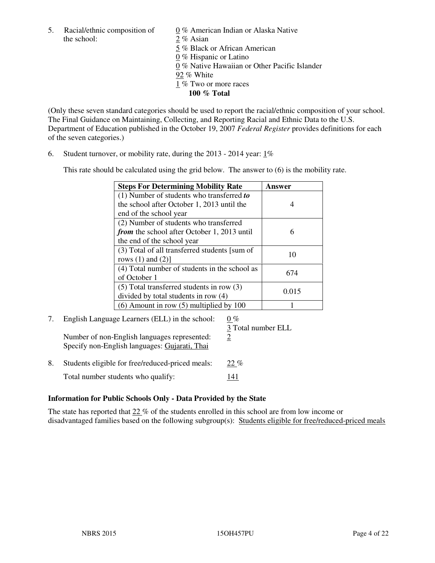5. Racial/ethnic composition of  $0\%$  American Indian or Alaska Native the school: 2 % Asian

 5 % Black or African American 0 % Hispanic or Latino 0 % Native Hawaiian or Other Pacific Islander 92 % White 1 % Two or more races **100 % Total** 

(Only these seven standard categories should be used to report the racial/ethnic composition of your school. The Final Guidance on Maintaining, Collecting, and Reporting Racial and Ethnic Data to the U.S. Department of Education published in the October 19, 2007 *Federal Register* provides definitions for each of the seven categories.)

6. Student turnover, or mobility rate, during the 2013 - 2014 year: 1%

This rate should be calculated using the grid below. The answer to (6) is the mobility rate.

| <b>Steps For Determining Mobility Rate</b>         | Answer |
|----------------------------------------------------|--------|
| $(1)$ Number of students who transferred to        |        |
| the school after October 1, 2013 until the         |        |
| end of the school year                             |        |
| (2) Number of students who transferred             |        |
| <i>from</i> the school after October 1, 2013 until | 6      |
| the end of the school year                         |        |
| (3) Total of all transferred students [sum of      | 10     |
| rows $(1)$ and $(2)$ ]                             |        |
| (4) Total number of students in the school as      | 674    |
| of October 1                                       |        |
| $(5)$ Total transferred students in row $(3)$      | 0.015  |
| divided by total students in row (4)               |        |
| $(6)$ Amount in row $(5)$ multiplied by 100        |        |

# 7. English Language Learners (ELL) in the school:  $0\%$

 3 Total number ELL Number of non-English languages represented:  $2$ Specify non-English languages: Gujarati, Thai

8. Students eligible for free/reduced-priced meals: 22 % Total number students who qualify: 141

#### **Information for Public Schools Only - Data Provided by the State**

The state has reported that  $22\%$  of the students enrolled in this school are from low income or disadvantaged families based on the following subgroup(s): Students eligible for free/reduced-priced meals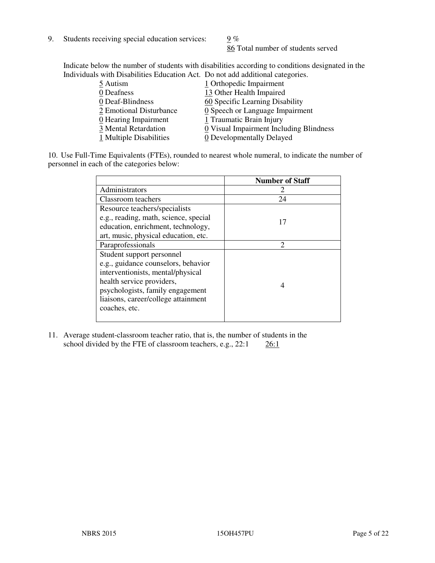9. Students receiving special education services:  $9\%$ 

86 Total number of students served

Indicate below the number of students with disabilities according to conditions designated in the Individuals with Disabilities Education Act. Do not add additional categories.

| 5 Autism                           | 1 Orthopedic Impairment                 |
|------------------------------------|-----------------------------------------|
| 0 Deafness                         | 13 Other Health Impaired                |
| 0 Deaf-Blindness                   | 60 Specific Learning Disability         |
| 2 Emotional Disturbance            | 0 Speech or Language Impairment         |
| $\underline{0}$ Hearing Impairment | 1 Traumatic Brain Injury                |
| 3 Mental Retardation               | 0 Visual Impairment Including Blindness |
| 1 Multiple Disabilities            | 0 Developmentally Delayed               |
|                                    |                                         |

10. Use Full-Time Equivalents (FTEs), rounded to nearest whole numeral, to indicate the number of personnel in each of the categories below:

|                                       | <b>Number of Staff</b>      |
|---------------------------------------|-----------------------------|
| Administrators                        |                             |
| Classroom teachers                    | 24                          |
| Resource teachers/specialists         |                             |
| e.g., reading, math, science, special | 17                          |
| education, enrichment, technology,    |                             |
| art, music, physical education, etc.  |                             |
| Paraprofessionals                     | $\mathcal{D}_{\mathcal{A}}$ |
| Student support personnel             |                             |
| e.g., guidance counselors, behavior   |                             |
| interventionists, mental/physical     |                             |
| health service providers,             | 4                           |
| psychologists, family engagement      |                             |
| liaisons, career/college attainment   |                             |
| coaches, etc.                         |                             |
|                                       |                             |

11. Average student-classroom teacher ratio, that is, the number of students in the school divided by the FTE of classroom teachers, e.g.,  $22:1$   $26:1$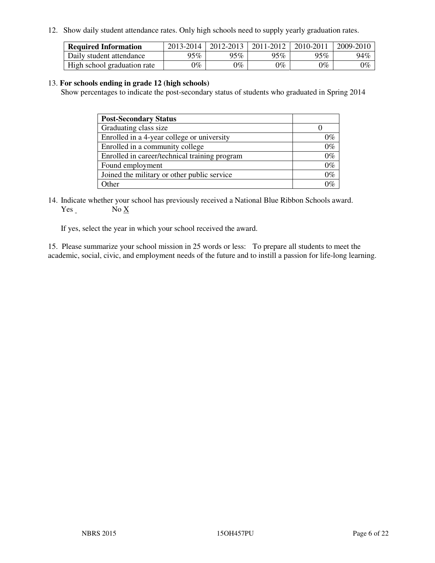12. Show daily student attendance rates. Only high schools need to supply yearly graduation rates.

| <b>Required Information</b> | 2013-2014     | 2012-2013       | 2011-2012 | 2010-2011 | 2009-2010 |
|-----------------------------|---------------|-----------------|-----------|-----------|-----------|
| Daily student attendance    | 95%           | 95%             | 95% $\,$  | 95%       | 94%       |
| High school graduation rate | $\gamma_{\%}$ | $\mathcal{V}_o$ | $0\%$     | 0%        | 0%        |

#### 13. **For schools ending in grade 12 (high schools)**

Show percentages to indicate the post-secondary status of students who graduated in Spring 2014

| <b>Post-Secondary Status</b>                  |       |
|-----------------------------------------------|-------|
| Graduating class size                         |       |
| Enrolled in a 4-year college or university    | በ‰    |
| Enrolled in a community college               | $0\%$ |
| Enrolled in career/technical training program | $0\%$ |
| Found employment                              | $0\%$ |
| Joined the military or other public service   | 0%    |
| Other                                         |       |

14. Indicate whether your school has previously received a National Blue Ribbon Schools award. Yes No X

If yes, select the year in which your school received the award.

15. Please summarize your school mission in 25 words or less: To prepare all students to meet the academic, social, civic, and employment needs of the future and to instill a passion for life-long learning.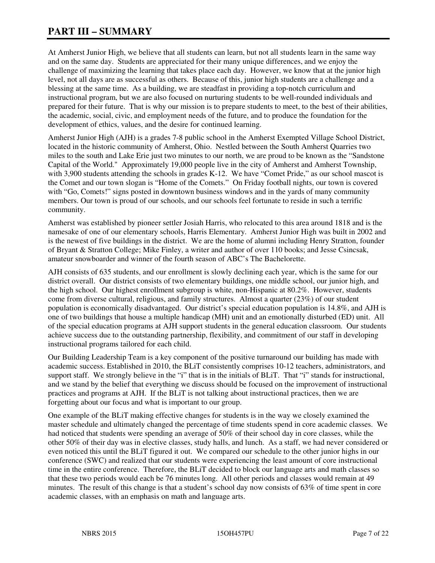# **PART III – SUMMARY**

At Amherst Junior High, we believe that all students can learn, but not all students learn in the same way and on the same day. Students are appreciated for their many unique differences, and we enjoy the challenge of maximizing the learning that takes place each day. However, we know that at the junior high level, not all days are as successful as others. Because of this, junior high students are a challenge and a blessing at the same time. As a building, we are steadfast in providing a top-notch curriculum and instructional program, but we are also focused on nurturing students to be well-rounded individuals and prepared for their future. That is why our mission is to prepare students to meet, to the best of their abilities, the academic, social, civic, and employment needs of the future, and to produce the foundation for the development of ethics, values, and the desire for continued learning.

Amherst Junior High (AJH) is a grades 7-8 public school in the Amherst Exempted Village School District, located in the historic community of Amherst, Ohio. Nestled between the South Amherst Quarries two miles to the south and Lake Erie just two minutes to our north, we are proud to be known as the "Sandstone Capital of the World." Approximately 19,000 people live in the city of Amherst and Amherst Township, with 3,900 students attending the schools in grades K-12. We have "Comet Pride," as our school mascot is the Comet and our town slogan is "Home of the Comets." On Friday football nights, our town is covered with "Go, Comets!" signs posted in downtown business windows and in the yards of many community members. Our town is proud of our schools, and our schools feel fortunate to reside in such a terrific community.

Amherst was established by pioneer settler Josiah Harris, who relocated to this area around 1818 and is the namesake of one of our elementary schools, Harris Elementary. Amherst Junior High was built in 2002 and is the newest of five buildings in the district. We are the home of alumni including Henry Stratton, founder of Bryant & Stratton College; Mike Finley, a writer and author of over 110 books; and Jesse Csincsak, amateur snowboarder and winner of the fourth season of ABC's The Bachelorette.

AJH consists of 635 students, and our enrollment is slowly declining each year, which is the same for our district overall. Our district consists of two elementary buildings, one middle school, our junior high, and the high school. Our highest enrollment subgroup is white, non-Hispanic at 80.2%. However, students come from diverse cultural, religious, and family structures. Almost a quarter (23%) of our student population is economically disadvantaged. Our district's special education population is 14.8%, and AJH is one of two buildings that house a multiple handicap (MH) unit and an emotionally disturbed (ED) unit. All of the special education programs at AJH support students in the general education classroom. Our students achieve success due to the outstanding partnership, flexibility, and commitment of our staff in developing instructional programs tailored for each child.

Our Building Leadership Team is a key component of the positive turnaround our building has made with academic success. Established in 2010, the BLiT consistently comprises 10-12 teachers, administrators, and support staff. We strongly believe in the "i" that is in the initials of BLiT. That "i" stands for instructional, and we stand by the belief that everything we discuss should be focused on the improvement of instructional practices and programs at AJH. If the BLiT is not talking about instructional practices, then we are forgetting about our focus and what is important to our group.

One example of the BLiT making effective changes for students is in the way we closely examined the master schedule and ultimately changed the percentage of time students spend in core academic classes. We had noticed that students were spending an average of 50% of their school day in core classes, while the other 50% of their day was in elective classes, study halls, and lunch. As a staff, we had never considered or even noticed this until the BLiT figured it out. We compared our schedule to the other junior highs in our conference (SWC) and realized that our students were experiencing the least amount of core instructional time in the entire conference. Therefore, the BLiT decided to block our language arts and math classes so that these two periods would each be 76 minutes long. All other periods and classes would remain at 49 minutes. The result of this change is that a student's school day now consists of 63% of time spent in core academic classes, with an emphasis on math and language arts.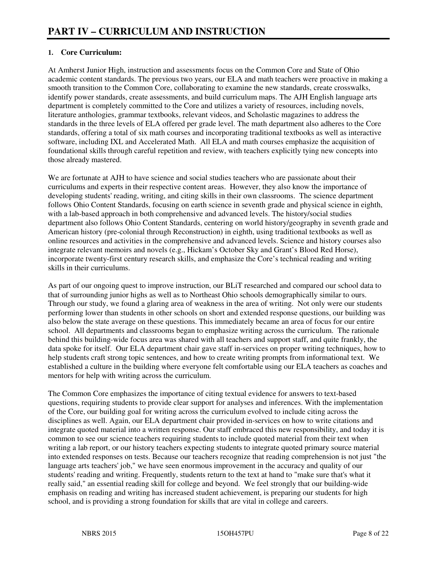# **1. Core Curriculum:**

At Amherst Junior High, instruction and assessments focus on the Common Core and State of Ohio academic content standards. The previous two years, our ELA and math teachers were proactive in making a smooth transition to the Common Core, collaborating to examine the new standards, create crosswalks, identify power standards, create assessments, and build curriculum maps. The AJH English language arts department is completely committed to the Core and utilizes a variety of resources, including novels, literature anthologies, grammar textbooks, relevant videos, and Scholastic magazines to address the standards in the three levels of ELA offered per grade level. The math department also adheres to the Core standards, offering a total of six math courses and incorporating traditional textbooks as well as interactive software, including IXL and Accelerated Math. All ELA and math courses emphasize the acquisition of foundational skills through careful repetition and review, with teachers explicitly tying new concepts into those already mastered.

We are fortunate at AJH to have science and social studies teachers who are passionate about their curriculums and experts in their respective content areas. However, they also know the importance of developing students' reading, writing, and citing skills in their own classrooms. The science department follows Ohio Content Standards, focusing on earth science in seventh grade and physical science in eighth, with a lab-based approach in both comprehensive and advanced levels. The history/social studies department also follows Ohio Content Standards, centering on world history/geography in seventh grade and American history (pre-colonial through Reconstruction) in eighth, using traditional textbooks as well as online resources and activities in the comprehensive and advanced levels. Science and history courses also integrate relevant memoirs and novels (e.g., Hickam's October Sky and Grant's Blood Red Horse), incorporate twenty-first century research skills, and emphasize the Core's technical reading and writing skills in their curriculums.

As part of our ongoing quest to improve instruction, our BLiT researched and compared our school data to that of surrounding junior highs as well as to Northeast Ohio schools demographically similar to ours. Through our study, we found a glaring area of weakness in the area of writing. Not only were our students performing lower than students in other schools on short and extended response questions, our building was also below the state average on these questions. This immediately became an area of focus for our entire school. All departments and classrooms began to emphasize writing across the curriculum. The rationale behind this building-wide focus area was shared with all teachers and support staff, and quite frankly, the data spoke for itself. Our ELA department chair gave staff in-services on proper writing techniques, how to help students craft strong topic sentences, and how to create writing prompts from informational text. We established a culture in the building where everyone felt comfortable using our ELA teachers as coaches and mentors for help with writing across the curriculum.

The Common Core emphasizes the importance of citing textual evidence for answers to text-based questions, requiring students to provide clear support for analyses and inferences. With the implementation of the Core, our building goal for writing across the curriculum evolved to include citing across the disciplines as well. Again, our ELA department chair provided in-services on how to write citations and integrate quoted material into a written response. Our staff embraced this new responsibility, and today it is common to see our science teachers requiring students to include quoted material from their text when writing a lab report, or our history teachers expecting students to integrate quoted primary source material into extended responses on tests. Because our teachers recognize that reading comprehension is not just "the language arts teachers' job," we have seen enormous improvement in the accuracy and quality of our students' reading and writing. Frequently, students return to the text at hand to "make sure that's what it really said," an essential reading skill for college and beyond. We feel strongly that our building-wide emphasis on reading and writing has increased student achievement, is preparing our students for high school, and is providing a strong foundation for skills that are vital in college and careers.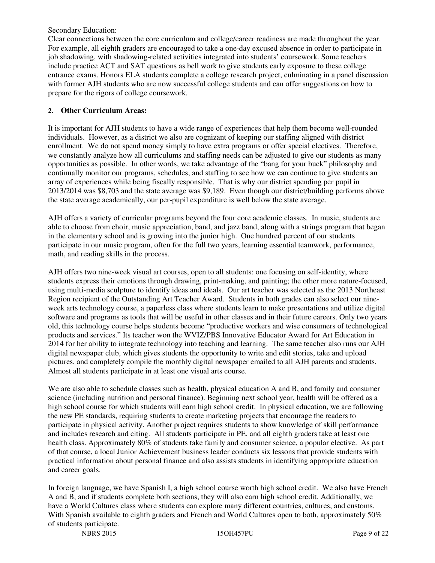Secondary Education:

Clear connections between the core curriculum and college/career readiness are made throughout the year. For example, all eighth graders are encouraged to take a one-day excused absence in order to participate in job shadowing, with shadowing-related activities integrated into students' coursework. Some teachers include practice ACT and SAT questions as bell work to give students early exposure to these college entrance exams. Honors ELA students complete a college research project, culminating in a panel discussion with former AJH students who are now successful college students and can offer suggestions on how to prepare for the rigors of college coursework.

# **2. Other Curriculum Areas:**

It is important for AJH students to have a wide range of experiences that help them become well-rounded individuals. However, as a district we also are cognizant of keeping our staffing aligned with district enrollment. We do not spend money simply to have extra programs or offer special electives. Therefore, we constantly analyze how all curriculums and staffing needs can be adjusted to give our students as many opportunities as possible. In other words, we take advantage of the "bang for your buck" philosophy and continually monitor our programs, schedules, and staffing to see how we can continue to give students an array of experiences while being fiscally responsible. That is why our district spending per pupil in 2013/2014 was \$8,703 and the state average was \$9,189. Even though our district/building performs above the state average academically, our per-pupil expenditure is well below the state average.

AJH offers a variety of curricular programs beyond the four core academic classes. In music, students are able to choose from choir, music appreciation, band, and jazz band, along with a strings program that began in the elementary school and is growing into the junior high. One hundred percent of our students participate in our music program, often for the full two years, learning essential teamwork, performance, math, and reading skills in the process.

AJH offers two nine-week visual art courses, open to all students: one focusing on self-identity, where students express their emotions through drawing, print-making, and painting; the other more nature-focused, using multi-media sculpture to identify ideas and ideals. Our art teacher was selected as the 2013 Northeast Region recipient of the Outstanding Art Teacher Award. Students in both grades can also select our nineweek arts technology course, a paperless class where students learn to make presentations and utilize digital software and programs as tools that will be useful in other classes and in their future careers. Only two years old, this technology course helps students become "productive workers and wise consumers of technological products and services." Its teacher won the WVIZ/PBS Innovative Educator Award for Art Education in 2014 for her ability to integrate technology into teaching and learning. The same teacher also runs our AJH digital newspaper club, which gives students the opportunity to write and edit stories, take and upload pictures, and completely compile the monthly digital newspaper emailed to all AJH parents and students. Almost all students participate in at least one visual arts course.

We are also able to schedule classes such as health, physical education A and B, and family and consumer science (including nutrition and personal finance). Beginning next school year, health will be offered as a high school course for which students will earn high school credit. In physical education, we are following the new PE standards, requiring students to create marketing projects that encourage the readers to participate in physical activity. Another project requires students to show knowledge of skill performance and includes research and citing. All students participate in PE, and all eighth graders take at least one health class. Approximately 80% of students take family and consumer science, a popular elective. As part of that course, a local Junior Achievement business leader conducts six lessons that provide students with practical information about personal finance and also assists students in identifying appropriate education and career goals.

In foreign language, we have Spanish I, a high school course worth high school credit. We also have French A and B, and if students complete both sections, they will also earn high school credit. Additionally, we have a World Cultures class where students can explore many different countries, cultures, and customs. With Spanish available to eighth graders and French and World Cultures open to both, approximately 50% of students participate.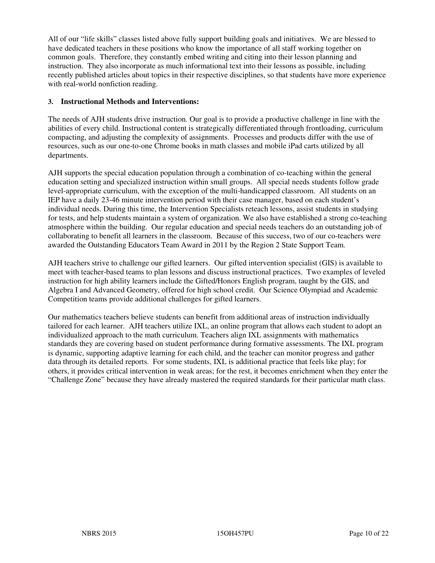All of our "life skills" classes listed above fully support building goals and initiatives. We are blessed to have dedicated teachers in these positions who know the importance of all staff working together on common goals. Therefore, they constantly embed writing and citing into their lesson planning and instruction. They also incorporate as much informational text into their lessons as possible, including recently published articles about topics in their respective disciplines, so that students have more experience with real-world nonfiction reading.

#### **3. Instructional Methods and Interventions:**

The needs of AJH students drive instruction. Our goal is to provide a productive challenge in line with the abilities of every child. Instructional content is strategically differentiated through frontloading, curriculum compacting, and adjusting the complexity of assignments. Processes and products differ with the use of resources, such as our one-to-one Chrome books in math classes and mobile iPad carts utilized by all departments.

AJH supports the special education population through a combination of co-teaching within the general education setting and specialized instruction within small groups. All special needs students follow grade level-appropriate curriculum, with the exception of the multi-handicapped classroom. All students on an IEP have a daily 23-46 minute intervention period with their case manager, based on each student's individual needs. During this time, the Intervention Specialists reteach lessons, assist students in studying for tests, and help students maintain a system of organization. We also have established a strong co-teaching atmosphere within the building. Our regular education and special needs teachers do an outstanding job of collaborating to benefit all learners in the classroom. Because of this success, two of our co-teachers were awarded the Outstanding Educators Team Award in 2011 by the Region 2 State Support Team.

AJH teachers strive to challenge our gifted learners. Our gifted intervention specialist (GIS) is available to meet with teacher-based teams to plan lessons and discuss instructional practices. Two examples of leveled instruction for high ability learners include the Gifted/Honors English program, taught by the GIS, and Algebra I and Advanced Geometry, offered for high school credit. Our Science Olympiad and Academic Competition teams provide additional challenges for gifted learners.

Our mathematics teachers believe students can benefit from additional areas of instruction individually tailored for each learner. AJH teachers utilize IXL, an online program that allows each student to adopt an individualized approach to the math curriculum. Teachers align IXL assignments with mathematics standards they are covering based on student performance during formative assessments. The IXL program is dynamic, supporting adaptive learning for each child, and the teacher can monitor progress and gather data through its detailed reports. For some students, IXL is additional practice that feels like play; for others, it provides critical intervention in weak areas; for the rest, it becomes enrichment when they enter the "Challenge Zone" because they have already mastered the required standards for their particular math class.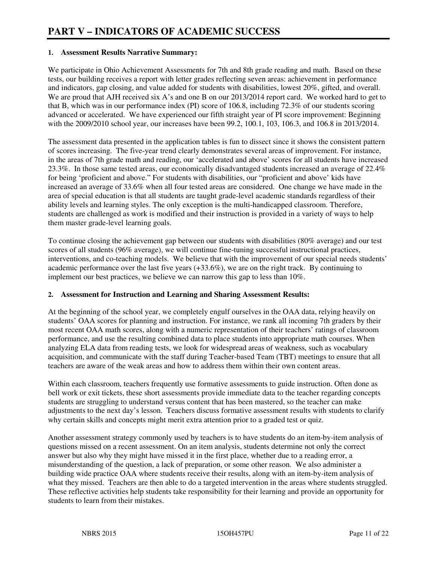#### **1. Assessment Results Narrative Summary:**

We participate in Ohio Achievement Assessments for 7th and 8th grade reading and math. Based on these tests, our building receives a report with letter grades reflecting seven areas: achievement in performance and indicators, gap closing, and value added for students with disabilities, lowest 20%, gifted, and overall. We are proud that AJH received six A's and one B on our 2013/2014 report card. We worked hard to get to that B, which was in our performance index (PI) score of 106.8, including 72.3% of our students scoring advanced or accelerated. We have experienced our fifth straight year of PI score improvement: Beginning with the 2009/2010 school year, our increases have been 99.2, 100.1, 103, 106.3, and 106.8 in 2013/2014.

The assessment data presented in the application tables is fun to dissect since it shows the consistent pattern of scores increasing. The five-year trend clearly demonstrates several areas of improvement. For instance, in the areas of 7th grade math and reading, our 'accelerated and above' scores for all students have increased 23.3%. In those same tested areas, our economically disadvantaged students increased an average of 22.4% for being 'proficient and above." For students with disabilities, our "proficient and above' kids have increased an average of 33.6% when all four tested areas are considered. One change we have made in the area of special education is that all students are taught grade-level academic standards regardless of their ability levels and learning styles. The only exception is the multi-handicapped classroom. Therefore, students are challenged as work is modified and their instruction is provided in a variety of ways to help them master grade-level learning goals.

To continue closing the achievement gap between our students with disabilities (80% average) and our test scores of all students (96% average), we will continue fine-tuning successful instructional practices, interventions, and co-teaching models. We believe that with the improvement of our special needs students' academic performance over the last five years (+33.6%), we are on the right track. By continuing to implement our best practices, we believe we can narrow this gap to less than 10%.

#### **2. Assessment for Instruction and Learning and Sharing Assessment Results:**

At the beginning of the school year, we completely engulf ourselves in the OAA data, relying heavily on students' OAA scores for planning and instruction. For instance, we rank all incoming 7th graders by their most recent OAA math scores, along with a numeric representation of their teachers' ratings of classroom performance, and use the resulting combined data to place students into appropriate math courses. When analyzing ELA data from reading tests, we look for widespread areas of weakness, such as vocabulary acquisition, and communicate with the staff during Teacher-based Team (TBT) meetings to ensure that all teachers are aware of the weak areas and how to address them within their own content areas.

Within each classroom, teachers frequently use formative assessments to guide instruction. Often done as bell work or exit tickets, these short assessments provide immediate data to the teacher regarding concepts students are struggling to understand versus content that has been mastered, so the teacher can make adjustments to the next day's lesson. Teachers discuss formative assessment results with students to clarify why certain skills and concepts might merit extra attention prior to a graded test or quiz.

Another assessment strategy commonly used by teachers is to have students do an item-by-item analysis of questions missed on a recent assessment. On an item analysis, students determine not only the correct answer but also why they might have missed it in the first place, whether due to a reading error, a misunderstanding of the question, a lack of preparation, or some other reason. We also administer a building wide practice OAA where students receive their results, along with an item-by-item analysis of what they missed. Teachers are then able to do a targeted intervention in the areas where students struggled. These reflective activities help students take responsibility for their learning and provide an opportunity for students to learn from their mistakes.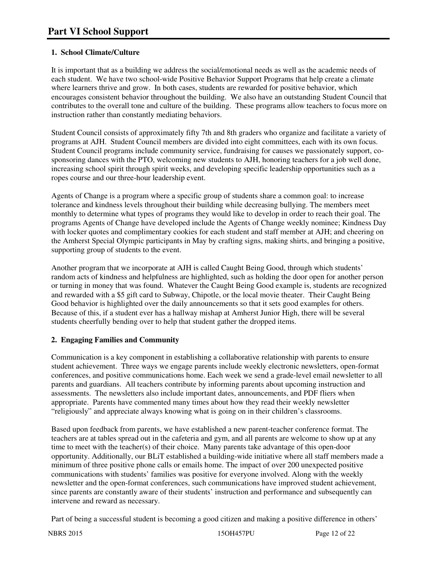# **1. School Climate/Culture**

It is important that as a building we address the social/emotional needs as well as the academic needs of each student. We have two school-wide Positive Behavior Support Programs that help create a climate where learners thrive and grow. In both cases, students are rewarded for positive behavior, which encourages consistent behavior throughout the building. We also have an outstanding Student Council that contributes to the overall tone and culture of the building. These programs allow teachers to focus more on instruction rather than constantly mediating behaviors.

Student Council consists of approximately fifty 7th and 8th graders who organize and facilitate a variety of programs at AJH. Student Council members are divided into eight committees, each with its own focus. Student Council programs include community service, fundraising for causes we passionately support, cosponsoring dances with the PTO, welcoming new students to AJH, honoring teachers for a job well done, increasing school spirit through spirit weeks, and developing specific leadership opportunities such as a ropes course and our three-hour leadership event.

Agents of Change is a program where a specific group of students share a common goal: to increase tolerance and kindness levels throughout their building while decreasing bullying. The members meet monthly to determine what types of programs they would like to develop in order to reach their goal. The programs Agents of Change have developed include the Agents of Change weekly nominee; Kindness Day with locker quotes and complimentary cookies for each student and staff member at AJH; and cheering on the Amherst Special Olympic participants in May by crafting signs, making shirts, and bringing a positive, supporting group of students to the event.

Another program that we incorporate at AJH is called Caught Being Good, through which students' random acts of kindness and helpfulness are highlighted, such as holding the door open for another person or turning in money that was found. Whatever the Caught Being Good example is, students are recognized and rewarded with a \$5 gift card to Subway, Chipotle, or the local movie theater. Their Caught Being Good behavior is highlighted over the daily announcements so that it sets good examples for others. Because of this, if a student ever has a hallway mishap at Amherst Junior High, there will be several students cheerfully bending over to help that student gather the dropped items.

# **2. Engaging Families and Community**

Communication is a key component in establishing a collaborative relationship with parents to ensure student achievement. Three ways we engage parents include weekly electronic newsletters, open-format conferences, and positive communications home. Each week we send a grade-level email newsletter to all parents and guardians. All teachers contribute by informing parents about upcoming instruction and assessments. The newsletters also include important dates, announcements, and PDF fliers when appropriate. Parents have commented many times about how they read their weekly newsletter "religiously" and appreciate always knowing what is going on in their children's classrooms.

Based upon feedback from parents, we have established a new parent-teacher conference format. The teachers are at tables spread out in the cafeteria and gym, and all parents are welcome to show up at any time to meet with the teacher(s) of their choice. Many parents take advantage of this open-door opportunity. Additionally, our BLiT established a building-wide initiative where all staff members made a minimum of three positive phone calls or emails home. The impact of over 200 unexpected positive communications with students' families was positive for everyone involved. Along with the weekly newsletter and the open-format conferences, such communications have improved student achievement, since parents are constantly aware of their students' instruction and performance and subsequently can intervene and reward as necessary.

Part of being a successful student is becoming a good citizen and making a positive difference in others'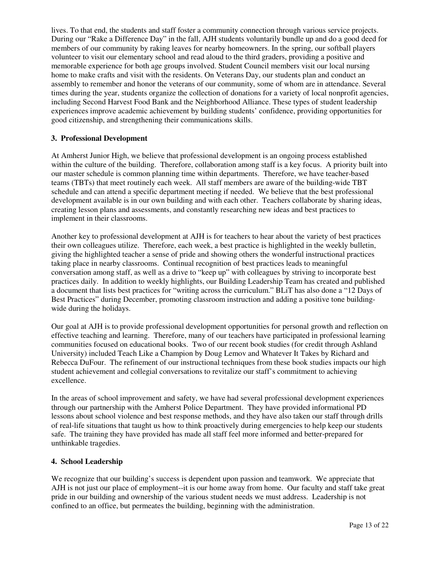lives. To that end, the students and staff foster a community connection through various service projects. During our "Rake a Difference Day" in the fall, AJH students voluntarily bundle up and do a good deed for members of our community by raking leaves for nearby homeowners. In the spring, our softball players volunteer to visit our elementary school and read aloud to the third graders, providing a positive and memorable experience for both age groups involved. Student Council members visit our local nursing home to make crafts and visit with the residents. On Veterans Day, our students plan and conduct an assembly to remember and honor the veterans of our community, some of whom are in attendance. Several times during the year, students organize the collection of donations for a variety of local nonprofit agencies, including Second Harvest Food Bank and the Neighborhood Alliance. These types of student leadership experiences improve academic achievement by building students' confidence, providing opportunities for good citizenship, and strengthening their communications skills.

#### **3. Professional Development**

At Amherst Junior High, we believe that professional development is an ongoing process established within the culture of the building. Therefore, collaboration among staff is a key focus. A priority built into our master schedule is common planning time within departments. Therefore, we have teacher-based teams (TBTs) that meet routinely each week. All staff members are aware of the building-wide TBT schedule and can attend a specific department meeting if needed. We believe that the best professional development available is in our own building and with each other. Teachers collaborate by sharing ideas, creating lesson plans and assessments, and constantly researching new ideas and best practices to implement in their classrooms.

Another key to professional development at AJH is for teachers to hear about the variety of best practices their own colleagues utilize. Therefore, each week, a best practice is highlighted in the weekly bulletin, giving the highlighted teacher a sense of pride and showing others the wonderful instructional practices taking place in nearby classrooms. Continual recognition of best practices leads to meaningful conversation among staff, as well as a drive to "keep up" with colleagues by striving to incorporate best practices daily. In addition to weekly highlights, our Building Leadership Team has created and published a document that lists best practices for "writing across the curriculum." BLiT has also done a "12 Days of Best Practices" during December, promoting classroom instruction and adding a positive tone buildingwide during the holidays.

Our goal at AJH is to provide professional development opportunities for personal growth and reflection on effective teaching and learning. Therefore, many of our teachers have participated in professional learning communities focused on educational books. Two of our recent book studies (for credit through Ashland University) included Teach Like a Champion by Doug Lemov and Whatever It Takes by Richard and Rebecca DuFour. The refinement of our instructional techniques from these book studies impacts our high student achievement and collegial conversations to revitalize our staff's commitment to achieving excellence.

In the areas of school improvement and safety, we have had several professional development experiences through our partnership with the Amherst Police Department. They have provided informational PD lessons about school violence and best response methods, and they have also taken our staff through drills of real-life situations that taught us how to think proactively during emergencies to help keep our students safe. The training they have provided has made all staff feel more informed and better-prepared for unthinkable tragedies.

#### **4. School Leadership**

We recognize that our building's success is dependent upon passion and teamwork. We appreciate that AJH is not just our place of employment--it is our home away from home. Our faculty and staff take great pride in our building and ownership of the various student needs we must address. Leadership is not confined to an office, but permeates the building, beginning with the administration.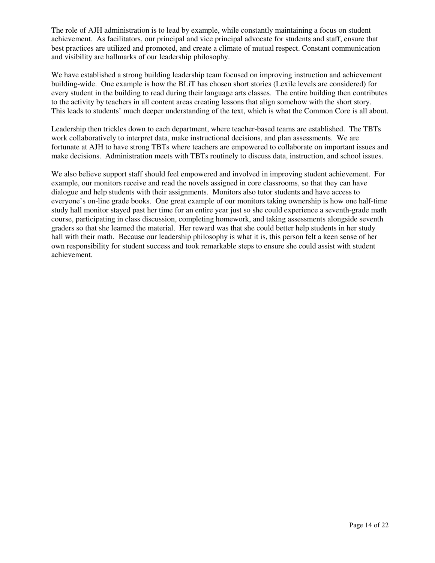The role of AJH administration is to lead by example, while constantly maintaining a focus on student achievement. As facilitators, our principal and vice principal advocate for students and staff, ensure that best practices are utilized and promoted, and create a climate of mutual respect. Constant communication and visibility are hallmarks of our leadership philosophy.

We have established a strong building leadership team focused on improving instruction and achievement building-wide. One example is how the BLiT has chosen short stories (Lexile levels are considered) for every student in the building to read during their language arts classes. The entire building then contributes to the activity by teachers in all content areas creating lessons that align somehow with the short story. This leads to students' much deeper understanding of the text, which is what the Common Core is all about.

Leadership then trickles down to each department, where teacher-based teams are established. The TBTs work collaboratively to interpret data, make instructional decisions, and plan assessments. We are fortunate at AJH to have strong TBTs where teachers are empowered to collaborate on important issues and make decisions. Administration meets with TBTs routinely to discuss data, instruction, and school issues.

We also believe support staff should feel empowered and involved in improving student achievement. For example, our monitors receive and read the novels assigned in core classrooms, so that they can have dialogue and help students with their assignments. Monitors also tutor students and have access to everyone's on-line grade books. One great example of our monitors taking ownership is how one half-time study hall monitor stayed past her time for an entire year just so she could experience a seventh-grade math course, participating in class discussion, completing homework, and taking assessments alongside seventh graders so that she learned the material. Her reward was that she could better help students in her study hall with their math. Because our leadership philosophy is what it is, this person felt a keen sense of her own responsibility for student success and took remarkable steps to ensure she could assist with student achievement.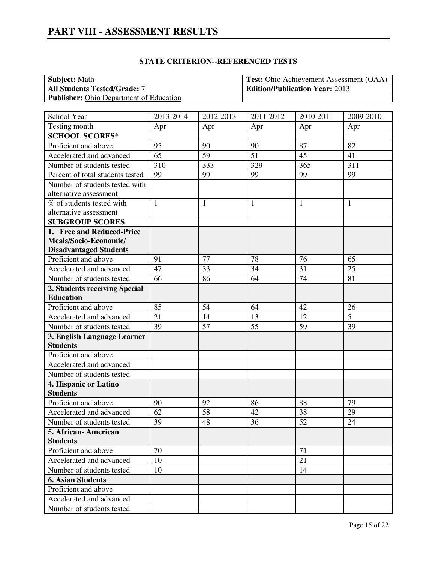| <b>Subject:</b> Math                           | <b>Test:</b> Ohio Achievement Assessment (OAA) |
|------------------------------------------------|------------------------------------------------|
| <b>All Students Tested/Grade: 7</b>            | <b>Edition/Publication Year: 2013</b>          |
| <b>Publisher:</b> Ohio Department of Education |                                                |

# **STATE CRITERION--REFERENCED TESTS**

| School Year                      | 2013-2014    | 2012-2013    | 2011-2012    | 2010-2011    | 2009-2010    |
|----------------------------------|--------------|--------------|--------------|--------------|--------------|
| Testing month                    | Apr          | Apr          | Apr          | Apr          | Apr          |
| <b>SCHOOL SCORES*</b>            |              |              |              |              |              |
| Proficient and above             | 95           | 90           | 90           | 87           | 82           |
| Accelerated and advanced         | 65           | 59           | 51           | 45           | 41           |
| Number of students tested        | 310          | 333          | 329          | 365          | 311          |
| Percent of total students tested | 99           | 99           | 99           | 99           | 99           |
| Number of students tested with   |              |              |              |              |              |
| alternative assessment           |              |              |              |              |              |
| % of students tested with        | $\mathbf{1}$ | $\mathbf{1}$ | $\mathbf{1}$ | $\mathbf{1}$ | $\mathbf{1}$ |
| alternative assessment           |              |              |              |              |              |
| <b>SUBGROUP SCORES</b>           |              |              |              |              |              |
| 1. Free and Reduced-Price        |              |              |              |              |              |
| Meals/Socio-Economic/            |              |              |              |              |              |
| <b>Disadvantaged Students</b>    |              |              |              |              |              |
| Proficient and above             | 91           | 77           | 78           | 76           | 65           |
| Accelerated and advanced         | 47           | 33           | 34           | 31           | 25           |
| Number of students tested        | 66           | 86           | 64           | 74           | 81           |
| 2. Students receiving Special    |              |              |              |              |              |
| <b>Education</b>                 |              |              |              |              |              |
| Proficient and above             | 85           | 54           | 64           | 42           | 26           |
| Accelerated and advanced         | 21           | 14           | 13           | 12           | 5            |
| Number of students tested        | 39           | 57           | 55           | 59           | 39           |
| 3. English Language Learner      |              |              |              |              |              |
| <b>Students</b>                  |              |              |              |              |              |
| Proficient and above             |              |              |              |              |              |
| Accelerated and advanced         |              |              |              |              |              |
| Number of students tested        |              |              |              |              |              |
| 4. Hispanic or Latino            |              |              |              |              |              |
| <b>Students</b>                  |              |              |              |              |              |
| Proficient and above             | 90           | 92           | 86           | 88           | 79           |
| Accelerated and advanced         | 62           | 58           | 42           | 38           | 29           |
| Number of students tested        | 39           | 48           | 36           | 52           | 24           |
| 5. African-American              |              |              |              |              |              |
| <b>Students</b>                  |              |              |              |              |              |
| Proficient and above             | 70           |              |              | 71           |              |
| Accelerated and advanced         | 10           |              |              | 21           |              |
| Number of students tested        | 10           |              |              | 14           |              |
| <b>6. Asian Students</b>         |              |              |              |              |              |
| Proficient and above             |              |              |              |              |              |
| Accelerated and advanced         |              |              |              |              |              |
| Number of students tested        |              |              |              |              |              |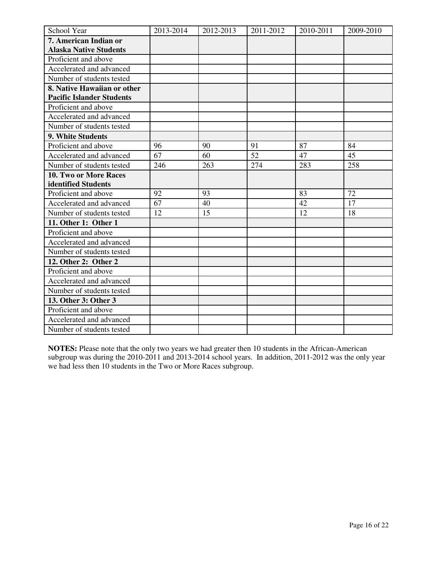| School Year                      | 2013-2014 | 2012-2013 | 2011-2012 | 2010-2011 | 2009-2010 |
|----------------------------------|-----------|-----------|-----------|-----------|-----------|
| 7. American Indian or            |           |           |           |           |           |
| <b>Alaska Native Students</b>    |           |           |           |           |           |
| Proficient and above             |           |           |           |           |           |
| Accelerated and advanced         |           |           |           |           |           |
| Number of students tested        |           |           |           |           |           |
| 8. Native Hawaiian or other      |           |           |           |           |           |
| <b>Pacific Islander Students</b> |           |           |           |           |           |
| Proficient and above             |           |           |           |           |           |
| Accelerated and advanced         |           |           |           |           |           |
| Number of students tested        |           |           |           |           |           |
| 9. White Students                |           |           |           |           |           |
| Proficient and above             | 96        | 90        | 91        | 87        | 84        |
| Accelerated and advanced         | 67        | 60        | 52        | 47        | 45        |
| Number of students tested        | 246       | 263       | 274       | 283       | 258       |
| 10. Two or More Races            |           |           |           |           |           |
| identified Students              |           |           |           |           |           |
| Proficient and above             | 92        | 93        |           | 83        | 72        |
| Accelerated and advanced         | 67        | 40        |           | 42        | 17        |
| Number of students tested        | 12        | 15        |           | 12        | 18        |
| 11. Other 1: Other 1             |           |           |           |           |           |
| Proficient and above             |           |           |           |           |           |
| Accelerated and advanced         |           |           |           |           |           |
| Number of students tested        |           |           |           |           |           |
| 12. Other 2: Other 2             |           |           |           |           |           |
| Proficient and above             |           |           |           |           |           |
| Accelerated and advanced         |           |           |           |           |           |
| Number of students tested        |           |           |           |           |           |
| 13. Other 3: Other 3             |           |           |           |           |           |
| Proficient and above             |           |           |           |           |           |
| Accelerated and advanced         |           |           |           |           |           |
| Number of students tested        |           |           |           |           |           |

**NOTES:** Please note that the only two years we had greater then 10 students in the African-American subgroup was during the 2010-2011 and 2013-2014 school years. In addition, 2011-2012 was the only year we had less then 10 students in the Two or More Races subgroup.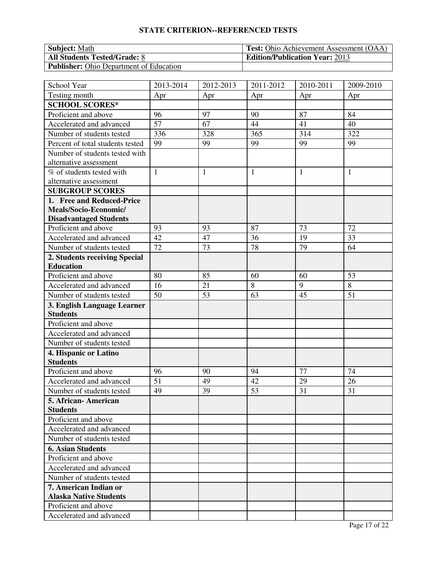# **STATE CRITERION--REFERENCED TESTS**

| <b>Subject:</b> Math                           | <b>Test:</b> Ohio Achievement Assessment (OAA) |
|------------------------------------------------|------------------------------------------------|
| <b>All Students Tested/Grade: 8</b>            | <b>Edition/Publication Year: 2013</b>          |
| <b>Publisher:</b> Ohio Department of Education |                                                |

| School Year                      | 2013-2014    | 2012-2013    | 2011-2012    | 2010-2011 | 2009-2010 |
|----------------------------------|--------------|--------------|--------------|-----------|-----------|
| Testing month                    | Apr          | Apr          | Apr          | Apr       | Apr       |
| <b>SCHOOL SCORES*</b>            |              |              |              |           |           |
| Proficient and above             | 96           | 97           | 90           | 87        | 84        |
| Accelerated and advanced         | 57           | 67           | 44           | 41        | 40        |
| Number of students tested        | 336          | 328          | 365          | 314       | 322       |
| Percent of total students tested | 99           | 99           | 99           | 99        | 99        |
| Number of students tested with   |              |              |              |           |           |
| alternative assessment           |              |              |              |           |           |
| % of students tested with        | $\mathbf{1}$ | $\mathbf{1}$ | $\mathbf{1}$ | 1         | 1         |
| alternative assessment           |              |              |              |           |           |
| <b>SUBGROUP SCORES</b>           |              |              |              |           |           |
| 1. Free and Reduced-Price        |              |              |              |           |           |
| Meals/Socio-Economic/            |              |              |              |           |           |
| <b>Disadvantaged Students</b>    |              |              |              |           |           |
| Proficient and above             | 93           | 93           | 87           | 73        | 72        |
| Accelerated and advanced         | 42           | 47           | 36           | 19        | 33        |
| Number of students tested        | 72           | 73           | 78           | 79        | 64        |
| 2. Students receiving Special    |              |              |              |           |           |
| <b>Education</b>                 |              |              |              |           |           |
| Proficient and above             | 80           | 85           | 60           | 60        | 53        |
| Accelerated and advanced         | 16           | 21           | 8            | 9         | 8         |
| Number of students tested        | 50           | 53           | 63           | 45        | 51        |
| 3. English Language Learner      |              |              |              |           |           |
| <b>Students</b>                  |              |              |              |           |           |
| Proficient and above             |              |              |              |           |           |
| Accelerated and advanced         |              |              |              |           |           |
| Number of students tested        |              |              |              |           |           |
| 4. Hispanic or Latino            |              |              |              |           |           |
| <b>Students</b>                  |              |              |              |           |           |
| Proficient and above             | 96           | 90           | 94           | 77        | 74        |
| Accelerated and advanced         | 51           | 49           | 42           | 29        | 26        |
| Number of students tested        | 49           | 39           | 53           | 31        | 31        |
| 5. African- American             |              |              |              |           |           |
| <b>Students</b>                  |              |              |              |           |           |
| Proficient and above             |              |              |              |           |           |
| Accelerated and advanced         |              |              |              |           |           |
| Number of students tested        |              |              |              |           |           |
| <b>6. Asian Students</b>         |              |              |              |           |           |
| Proficient and above             |              |              |              |           |           |
| Accelerated and advanced         |              |              |              |           |           |
| Number of students tested        |              |              |              |           |           |
| 7. American Indian or            |              |              |              |           |           |
| <b>Alaska Native Students</b>    |              |              |              |           |           |
| Proficient and above             |              |              |              |           |           |
| Accelerated and advanced         |              |              |              |           |           |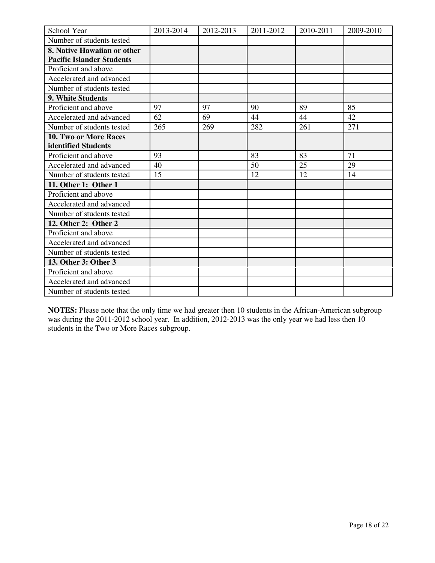| School Year                      | 2013-2014 | 2012-2013 | 2011-2012 | 2010-2011 | 2009-2010 |
|----------------------------------|-----------|-----------|-----------|-----------|-----------|
| Number of students tested        |           |           |           |           |           |
| 8. Native Hawaiian or other      |           |           |           |           |           |
| <b>Pacific Islander Students</b> |           |           |           |           |           |
| Proficient and above             |           |           |           |           |           |
| Accelerated and advanced         |           |           |           |           |           |
| Number of students tested        |           |           |           |           |           |
| 9. White Students                |           |           |           |           |           |
| Proficient and above             | 97        | 97        | 90        | 89        | 85        |
| Accelerated and advanced         | 62        | 69        | 44        | 44        | 42        |
| Number of students tested        | 265       | 269       | 282       | 261       | 271       |
| <b>10. Two or More Races</b>     |           |           |           |           |           |
| identified Students              |           |           |           |           |           |
| Proficient and above             | 93        |           | 83        | 83        | 71        |
| Accelerated and advanced         | 40        |           | 50        | 25        | 29        |
| Number of students tested        | 15        |           | 12        | 12        | 14        |
| 11. Other 1: Other 1             |           |           |           |           |           |
| Proficient and above             |           |           |           |           |           |
| Accelerated and advanced         |           |           |           |           |           |
| Number of students tested        |           |           |           |           |           |
| 12. Other 2: Other 2             |           |           |           |           |           |
| Proficient and above             |           |           |           |           |           |
| Accelerated and advanced         |           |           |           |           |           |
| Number of students tested        |           |           |           |           |           |
| 13. Other 3: Other 3             |           |           |           |           |           |
| Proficient and above             |           |           |           |           |           |
| Accelerated and advanced         |           |           |           |           |           |
| Number of students tested        |           |           |           |           |           |

**NOTES:** Please note that the only time we had greater then 10 students in the African-American subgroup was during the 2011-2012 school year. In addition, 2012-2013 was the only year we had less then 10 students in the Two or More Races subgroup.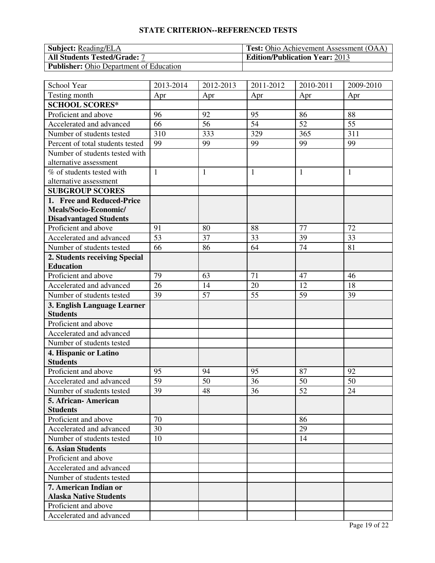# **STATE CRITERION--REFERENCED TESTS**

| <b>Subject:</b> Reading/ELA                    | <b>Test:</b> Ohio Achievement Assessment (OAA) |
|------------------------------------------------|------------------------------------------------|
| <b>All Students Tested/Grade: 7</b>            | <b>Edition/Publication Year: 2013</b>          |
| <b>Publisher:</b> Ohio Department of Education |                                                |

| School Year                                    | 2013-2014    | 2012-2013    | 2011-2012    | 2010-2011       | 2009-2010    |
|------------------------------------------------|--------------|--------------|--------------|-----------------|--------------|
| Testing month                                  | Apr          | Apr          | Apr          | Apr             | Apr          |
| <b>SCHOOL SCORES*</b>                          |              |              |              |                 |              |
| Proficient and above                           | 96           | 92           | 95           | 86              | 88           |
| Accelerated and advanced                       | 66           | 56           | 54           | 52              | 55           |
| Number of students tested                      | 310          | 333          | 329          | 365             | 311          |
| Percent of total students tested               | 99           | 99           | 99           | 99              | 99           |
| Number of students tested with                 |              |              |              |                 |              |
| alternative assessment                         |              |              |              |                 |              |
| % of students tested with                      | $\mathbf{1}$ | $\mathbf{1}$ | $\mathbf{1}$ | $\mathbf{1}$    | $\mathbf{1}$ |
| alternative assessment                         |              |              |              |                 |              |
| <b>SUBGROUP SCORES</b>                         |              |              |              |                 |              |
| 1. Free and Reduced-Price                      |              |              |              |                 |              |
| Meals/Socio-Economic/                          |              |              |              |                 |              |
| <b>Disadvantaged Students</b>                  |              |              |              |                 |              |
| Proficient and above                           | 91           | 80           | 88           | 77              | 72           |
| Accelerated and advanced                       | 53           | 37           | 33           | 39              | 33           |
| Number of students tested                      | 66           | 86           | 64           | $\overline{74}$ | 81           |
| 2. Students receiving Special                  |              |              |              |                 |              |
| <b>Education</b>                               |              |              |              |                 |              |
| Proficient and above                           | 79           | 63           | 71           | 47              | 46           |
| Accelerated and advanced                       | 26           | 14           | 20           | 12              | 18           |
| Number of students tested                      | 39           | 57           | 55           | 59              | 39           |
| 3. English Language Learner<br><b>Students</b> |              |              |              |                 |              |
| Proficient and above                           |              |              |              |                 |              |
| Accelerated and advanced                       |              |              |              |                 |              |
| Number of students tested                      |              |              |              |                 |              |
| 4. Hispanic or Latino                          |              |              |              |                 |              |
| <b>Students</b>                                |              |              |              |                 |              |
| Proficient and above                           | 95           | 94           | 95           | 87              | 92           |
| Accelerated and advanced                       | 59           | 50           | 36           | 50              | 50           |
| Number of students tested                      | 39           | 48           | 36           | 52              | 24           |
| 5. African- American                           |              |              |              |                 |              |
| <b>Students</b>                                |              |              |              |                 |              |
| Proficient and above                           | 70           |              |              | 86              |              |
| Accelerated and advanced                       | 30           |              |              | 29              |              |
| Number of students tested                      | 10           |              |              | 14              |              |
| <b>6. Asian Students</b>                       |              |              |              |                 |              |
| Proficient and above                           |              |              |              |                 |              |
| Accelerated and advanced                       |              |              |              |                 |              |
| Number of students tested                      |              |              |              |                 |              |
| 7. American Indian or                          |              |              |              |                 |              |
| <b>Alaska Native Students</b>                  |              |              |              |                 |              |
| Proficient and above                           |              |              |              |                 |              |
| Accelerated and advanced                       |              |              |              |                 |              |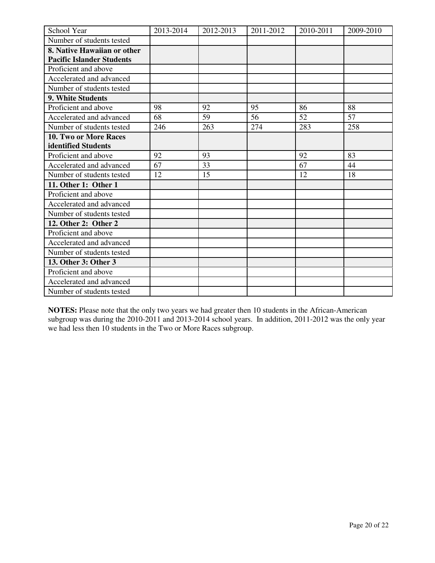| School Year                      | 2013-2014 | 2012-2013 | 2011-2012 | 2010-2011 | 2009-2010 |
|----------------------------------|-----------|-----------|-----------|-----------|-----------|
| Number of students tested        |           |           |           |           |           |
| 8. Native Hawaiian or other      |           |           |           |           |           |
| <b>Pacific Islander Students</b> |           |           |           |           |           |
| Proficient and above             |           |           |           |           |           |
| Accelerated and advanced         |           |           |           |           |           |
| Number of students tested        |           |           |           |           |           |
| 9. White Students                |           |           |           |           |           |
| Proficient and above             | 98        | 92        | 95        | 86        | 88        |
| Accelerated and advanced         | 68        | 59        | 56        | 52        | 57        |
| Number of students tested        | 246       | 263       | 274       | 283       | 258       |
| <b>10. Two or More Races</b>     |           |           |           |           |           |
| identified Students              |           |           |           |           |           |
| Proficient and above             | 92        | 93        |           | 92        | 83        |
| Accelerated and advanced         | 67        | 33        |           | 67        | 44        |
| Number of students tested        | 12        | 15        |           | 12        | 18        |
| 11. Other 1: Other 1             |           |           |           |           |           |
| Proficient and above             |           |           |           |           |           |
| Accelerated and advanced         |           |           |           |           |           |
| Number of students tested        |           |           |           |           |           |
| 12. Other 2: Other 2             |           |           |           |           |           |
| Proficient and above             |           |           |           |           |           |
| Accelerated and advanced         |           |           |           |           |           |
| Number of students tested        |           |           |           |           |           |
| 13. Other 3: Other 3             |           |           |           |           |           |
| Proficient and above             |           |           |           |           |           |
| Accelerated and advanced         |           |           |           |           |           |
| Number of students tested        |           |           |           |           |           |

**NOTES:** Please note that the only two years we had greater then 10 students in the African-American subgroup was during the 2010-2011 and 2013-2014 school years. In addition, 2011-2012 was the only year we had less then 10 students in the Two or More Races subgroup.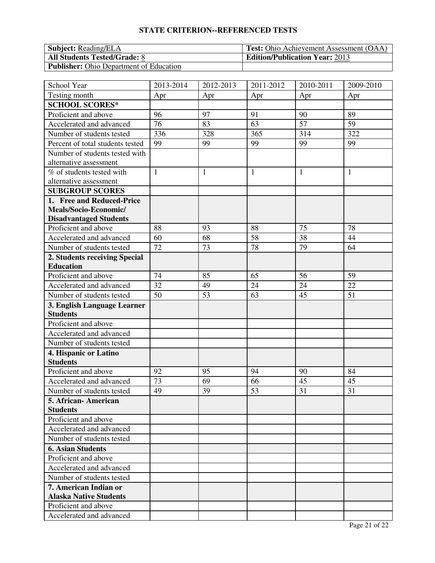# **STATE CRITERION--REFERENCED TESTS**

| <b>Subject:</b> Reading/ELA                    | <b>Test:</b> Ohio Achievement Assessment (OAA) |
|------------------------------------------------|------------------------------------------------|
| <b>All Students Tested/Grade: 8</b>            | <b>Edition/Publication Year: 2013</b>          |
| <b>Publisher:</b> Ohio Department of Education |                                                |

| School Year                                            | 2013-2014       | 2012-2013    | $\overline{20}11 - 2012$ | 2010-2011    | 2009-2010    |
|--------------------------------------------------------|-----------------|--------------|--------------------------|--------------|--------------|
| Testing month                                          | Apr             | Apr          | Apr                      | Apr          | Apr          |
| <b>SCHOOL SCORES*</b>                                  |                 |              |                          |              |              |
| Proficient and above                                   | 96              | 97           | 91                       | 90           | 89           |
| Accelerated and advanced                               | 76              | 83           | 63                       | 57           | 59           |
| Number of students tested                              | 336             | 328          | 365                      | 314          | 322          |
| Percent of total students tested                       | 99              | 99           | 99                       | 99           | 99           |
| Number of students tested with                         |                 |              |                          |              |              |
| alternative assessment                                 |                 |              |                          |              |              |
| % of students tested with                              | $\mathbf{1}$    | $\mathbf{1}$ | $\mathbf{1}$             | $\mathbf{1}$ | $\mathbf{1}$ |
| alternative assessment                                 |                 |              |                          |              |              |
| <b>SUBGROUP SCORES</b>                                 |                 |              |                          |              |              |
| 1. Free and Reduced-Price                              |                 |              |                          |              |              |
| Meals/Socio-Economic/                                  |                 |              |                          |              |              |
| <b>Disadvantaged Students</b>                          |                 |              |                          |              |              |
| Proficient and above                                   | 88              | 93           | 88                       | 75           | 78           |
| Accelerated and advanced                               | 60              | 68           | 58                       | 38           | 44           |
| Number of students tested                              | $\overline{72}$ | 73           | 78                       | 79           | 64           |
| 2. Students receiving Special                          |                 |              |                          |              |              |
| <b>Education</b>                                       |                 |              |                          |              |              |
| Proficient and above                                   | 74              | 85           | 65                       | 56           | 59           |
| Accelerated and advanced                               | 32              | 49           | 24                       | 24           | 22           |
| Number of students tested                              | 50              | 53           | 63                       | 45           | 51           |
| 3. English Language Learner                            |                 |              |                          |              |              |
| <b>Students</b>                                        |                 |              |                          |              |              |
| Proficient and above                                   |                 |              |                          |              |              |
| Accelerated and advanced                               |                 |              |                          |              |              |
| Number of students tested                              |                 |              |                          |              |              |
| 4. Hispanic or Latino<br><b>Students</b>               |                 |              |                          |              |              |
| Proficient and above                                   | 92              | 95           | 94                       | 90           | 84           |
|                                                        | 73              | 69           | 66                       | 45           |              |
| Accelerated and advanced                               |                 | 39           | 53                       | 31           | 45<br>31     |
| Number of students tested                              | 49              |              |                          |              |              |
| 5. African- American<br><b>Students</b>                |                 |              |                          |              |              |
| Proficient and above                                   |                 |              |                          |              |              |
| Accelerated and advanced                               |                 |              |                          |              |              |
| Number of students tested                              |                 |              |                          |              |              |
| <b>6. Asian Students</b>                               |                 |              |                          |              |              |
|                                                        |                 |              |                          |              |              |
| Proficient and above<br>Accelerated and advanced       |                 |              |                          |              |              |
|                                                        |                 |              |                          |              |              |
| Number of students tested                              |                 |              |                          |              |              |
| 7. American Indian or<br><b>Alaska Native Students</b> |                 |              |                          |              |              |
|                                                        |                 |              |                          |              |              |
| Proficient and above                                   |                 |              |                          |              |              |
| Accelerated and advanced                               |                 |              |                          |              |              |